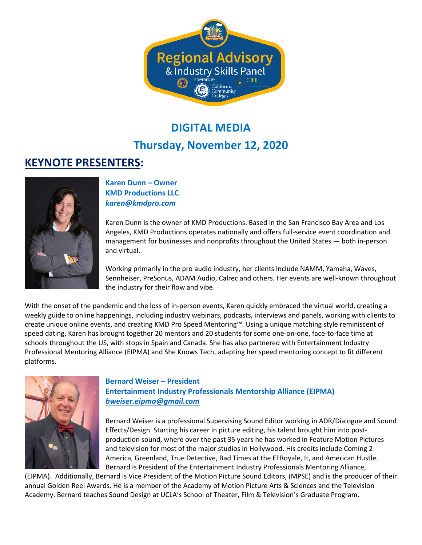

# **DIGITAL MEDIA Thursday, November 12, 2020**

## **KEYNOTE PRESENTERS:**



#### **Karen Dunn – Owner KMD Productions LLC** *[karen@kmdpro.com](mailto:karen@kmdpro.com)*

Karen Dunn is the owner of KMD Productions. Based in the San Francisco Bay Area and Los Angeles, KMD Productions operates nationally and offers full-service event coordination and management for businesses and nonprofits throughout the United States — both in-person and virtual.

Working primarily in the pro audio industry, her clients include NAMM, Yamaha, Waves, Sennheiser, PreSonus, ADAM Audio, Calrec and others. Her events are well-known throughout the industry for their flow and vibe.

With the onset of the pandemic and the loss of in-person events, Karen quickly embraced the virtual world, creating a weekly guide to online happenings, including industry webinars, podcasts, interviews and panels, working with clients to create unique online events, and creating KMD Pro Speed Mentoring™. Using a unique matching style reminiscent of speed dating, Karen has brought together 20 mentors and 20 students for some one-on-one, face-to-face time at schools throughout the US, with stops in Spain and Canada. She has also partnered with Entertainment Industry Professional Mentoring Alliance (EIPMA) and She Knows Tech, adapting her speed mentoring concept to fit different platforms.



**Bernard Weiser – President Entertainment Industry Professionals Mentorship Alliance (EIPMA)** *[bweiser.eipma@gmail.com](mailto:bweiser.eipma@gmail.com)*

Bernard Weiser is a professional Supervising Sound Editor working in ADR/Dialogue and Sound Effects/Design. Starting his career in picture editing, his talent brought him into postproduction sound, where over the past 35 years he has worked in Feature Motion Pictures and television for most of the major studios in Hollywood. His credits include Coming 2 America, Greenland, True Detective, Bad Times at the El Royale, It, and American Hustle. Bernard is President of the Entertainment Industry Professionals Mentoring Alliance,

(EIPMA). Additionally, Bernard is Vice President of the Motion Picture Sound Editors, (MPSE) and is the producer of their annual Golden Reel Awards. He is a member of the Academy of Motion Picture Arts & Sciences and the Television Academy. Bernard teaches Sound Design at UCLA's School of Theater, Film & Television's Graduate Program.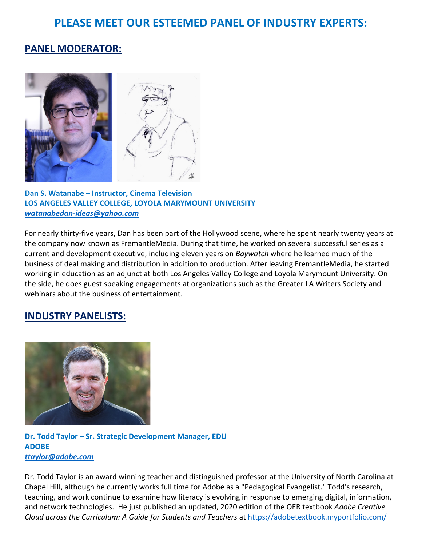## **PLEASE MEET OUR ESTEEMED PANEL OF INDUSTRY EXPERTS:**

### **PANEL MODERATOR:**



**Dan S. Watanabe – Instructor, Cinema Television LOS ANGELES VALLEY COLLEGE, LOYOLA MARYMOUNT UNIVERSITY** *[watanabedan-ideas@yahoo.com](mailto:watanabedan-ideas@yahoo.com)*

For nearly thirty-five years, Dan has been part of the Hollywood scene, where he spent nearly twenty years at the company now known as FremantleMedia. During that time, he worked on several successful series as a current and development executive, including eleven years on *Baywatch* where he learned much of the business of deal making and distribution in addition to production. After leaving FremantleMedia, he started working in education as an adjunct at both Los Angeles Valley College and Loyola Marymount University. On the side, he does guest speaking engagements at organizations such as the Greater LA Writers Society and webinars about the business of entertainment.

#### **INDUSTRY PANELISTS:**



**Dr. Todd Taylor – Sr. Strategic Development Manager, EDU ADOBE** *[ttaylor@adobe.com](mailto:ttaylor@adobe.com)*

Dr. Todd Taylor is an award winning teacher and distinguished professor at the University of North Carolina at Chapel Hill, although he currently works full time for Adobe as a "Pedagogical Evangelist." Todd's research, teaching, and work continue to examine how literacy is evolving in response to emerging digital, information, and network technologies. He just published an updated, 2020 edition of the OER textbook *Adobe Creative Cloud across the Curriculum: A Guide for Students and Teachers* at <https://adobetextbook.myportfolio.com/>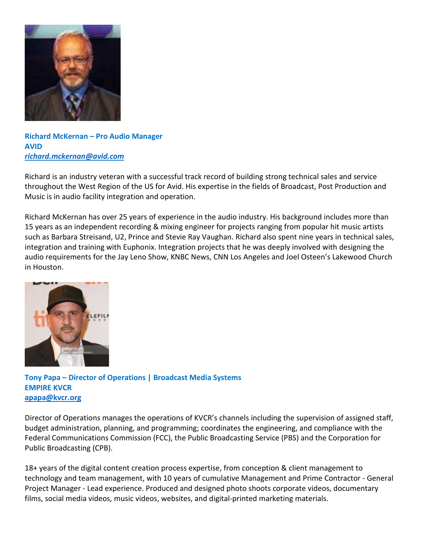

**Richard McKernan – Pro Audio Manager AVID** *richard.mckernan@avid.com*

Richard is an industry veteran with a successful track record of building strong technical sales and service throughout the West Region of the US for Avid. His expertise in the fields of Broadcast, Post Production and Music is in audio facility integration and operation.

Richard McKernan has over 25 years of experience in the audio industry. His background includes more than 15 years as an independent recording & mixing engineer for projects ranging from popular hit music artists such as Barbara Streisand, U2, Prince and Stevie Ray Vaughan. Richard also spent nine years in technical sales, integration and training with Euphonix. Integration projects that he was deeply involved with designing the audio requirements for the Jay Leno Show, KNBC News, CNN Los Angeles and Joel Osteen's Lakewood Church in Houston.



**Tony Papa – Director of Operations | Broadcast Media Systems EMPIRE KVCR [apapa@kvcr.org](mailto:apapa@kvcr.org)**

Director of Operations manages the operations of KVCR's channels including the supervision of assigned staff, budget administration, planning, and programming; coordinates the engineering, and compliance with the Federal Communications Commission (FCC), the Public Broadcasting Service (PBS) and the Corporation for Public Broadcasting (CPB).

18+ years of the digital content creation process expertise, from conception & client management to technology and team management, with 10 years of cumulative Management and Prime Contractor - General Project Manager - Lead experience. Produced and designed photo shoots corporate videos, documentary films, social media videos, music videos, websites, and digital-printed marketing materials.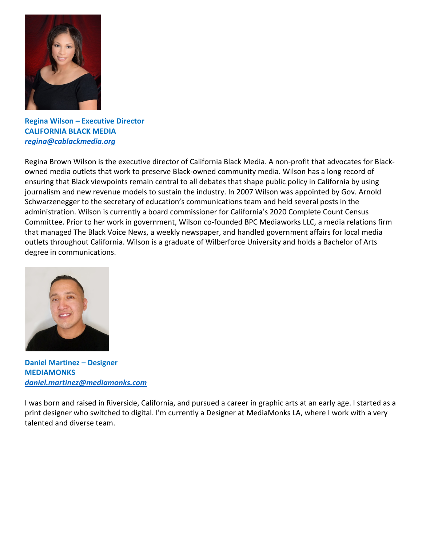

**Regina Wilson – Executive Director CALIFORNIA BLACK MEDIA** *[regina@cablackmedia.org](mailto:regina@cablackmedia.org)*

Regina Brown Wilson is the executive director of California Black Media. A non-profit that advocates for Blackowned media outlets that work to preserve Black-owned community media. Wilson has a long record of ensuring that Black viewpoints remain central to all debates that shape public policy in California by using journalism and new revenue models to sustain the industry. In 2007 Wilson was appointed by Gov. Arnold Schwarzenegger to the secretary of education's communications team and held several posts in the administration. Wilson is currently a board commissioner for California's 2020 Complete Count Census Committee. Prior to her work in government, Wilson co-founded BPC Mediaworks LLC, a media relations firm that managed The Black Voice News, a weekly newspaper, and handled government affairs for local media outlets throughout California. Wilson is a graduate of Wilberforce University and holds a Bachelor of Arts degree in communications.



**Daniel Martinez – Designer MEDIAMONKS** *[daniel.martinez@mediamonks.com](mailto:daniel.martinez@mediamonks.com)*

I was born and raised in Riverside, California, and pursued a career in graphic arts at an early age. I started as a print designer who switched to digital. I'm currently a Designer at MediaMonks LA, where I work with a very talented and diverse team.